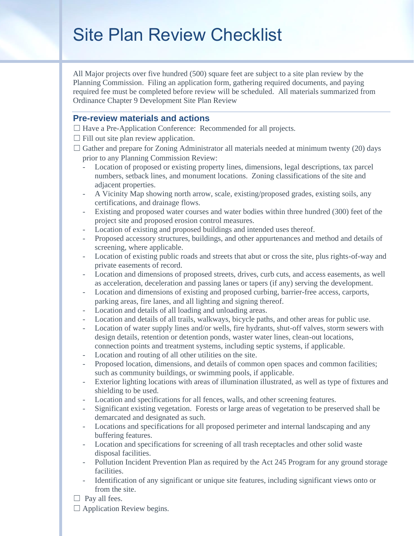# Site Plan Review Checklist

All Major projects over five hundred (500) square feet are subject to a site plan review by the Planning Commission. Filing an application form, gathering required documents, and paying required fee must be completed before review will be scheduled. All materials summarized from Ordinance Chapter 9 Development Site Plan Review

## **Pre-review materials and actions**

☐ Have a Pre-Application Conference: Recommended for all projects.

- $\Box$  Fill out site plan review application.
- $\Box$  Gather and prepare for Zoning Administrator all materials needed at minimum twenty (20) days prior to any Planning Commission Review:
	- Location of proposed or existing property lines, dimensions, legal descriptions, tax parcel numbers, setback lines, and monument locations. Zoning classifications of the site and adjacent properties.
	- A Vicinity Map showing north arrow, scale, existing/proposed grades, existing soils, any certifications, and drainage flows.
	- Existing and proposed water courses and water bodies within three hundred (300) feet of the project site and proposed erosion control measures.
	- Location of existing and proposed buildings and intended uses thereof.
	- Proposed accessory structures, buildings, and other appurtenances and method and details of screening, where applicable.
	- Location of existing public roads and streets that abut or cross the site, plus rights-of-way and private easements of record.
	- Location and dimensions of proposed streets, drives, curb cuts, and access easements, as well as acceleration, deceleration and passing lanes or tapers (if any) serving the development.
	- Location and dimensions of existing and proposed curbing, barrier-free access, carports, parking areas, fire lanes, and all lighting and signing thereof.
	- Location and details of all loading and unloading areas.
	- Location and details of all trails, walkways, bicycle paths, and other areas for public use.
	- Location of water supply lines and/or wells, fire hydrants, shut-off valves, storm sewers with design details, retention or detention ponds, waster water lines, clean-out locations,
	- connection points and treatment systems, including septic systems, if applicable.
	- Location and routing of all other utilities on the site.
	- Proposed location, dimensions, and details of common open spaces and common facilities; such as community buildings, or swimming pools, if applicable.
	- Exterior lighting locations with areas of illumination illustrated, as well as type of fixtures and shielding to be used.
	- Location and specifications for all fences, walls, and other screening features.
	- Significant existing vegetation. Forests or large areas of vegetation to be preserved shall be demarcated and designated as such.
	- Locations and specifications for all proposed perimeter and internal landscaping and any buffering features.
	- Location and specifications for screening of all trash receptacles and other solid waste disposal facilities.
	- Pollution Incident Prevention Plan as required by the Act 245 Program for any ground storage facilities.
	- Identification of any significant or unique site features, including significant views onto or from the site.
- $\Box$  Pay all fees.
- $\Box$  Application Review begins.